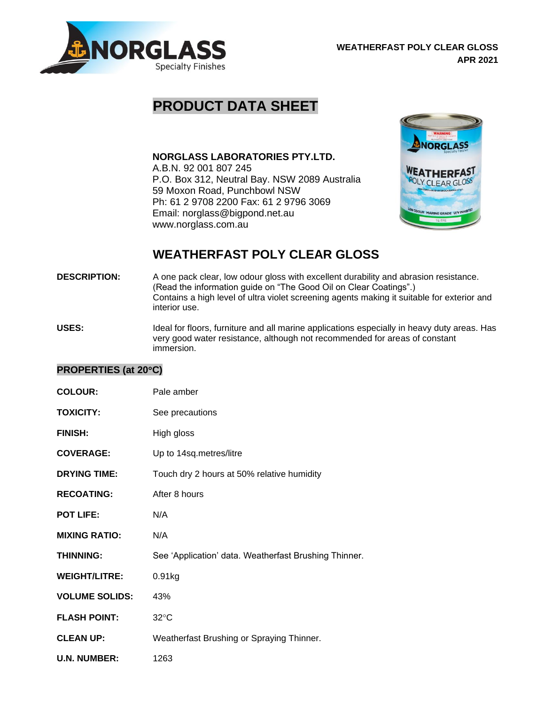

## **PRODUCT DATA SHEET**

**NORGLASS LABORATORIES PTY.LTD.**

A.B.N. 92 001 807 245 P.O. Box 312, Neutral Bay. NSW 2089 Australia 59 Moxon Road, Punchbowl NSW Ph: 61 2 9708 2200 Fax: 61 2 9796 3069 Email: norglass@bigpond.net.au www.norglass.com.au



## **WEATHERFAST POLY CLEAR GLOSS**

- **DESCRIPTION:** A one pack clear, low odour gloss with excellent durability and abrasion resistance. (Read the information guide on "The Good Oil on Clear Coatings".) Contains a high level of ultra violet screening agents making it suitable for exterior and interior use.
- USES: Ideal for floors, furniture and all marine applications especially in heavy duty areas. Has very good water resistance, although not recommended for areas of constant immersion.

## **PROPERTIES (at 20C)**

| <b>COLOUR:</b>        | Pale amber                                            |
|-----------------------|-------------------------------------------------------|
| <b>TOXICITY:</b>      | See precautions                                       |
| <b>FINISH:</b>        | High gloss                                            |
| <b>COVERAGE:</b>      | Up to 14sq.metres/litre                               |
| <b>DRYING TIME:</b>   | Touch dry 2 hours at 50% relative humidity            |
| <b>RECOATING:</b>     | After 8 hours                                         |
| <b>POT LIFE:</b>      | N/A                                                   |
| <b>MIXING RATIO:</b>  | N/A                                                   |
| <b>THINNING:</b>      | See 'Application' data. Weatherfast Brushing Thinner. |
| <b>WEIGHT/LITRE:</b>  | 0.91kg                                                |
| <b>VOLUME SOLIDS:</b> | 43%                                                   |
| <b>FLASH POINT:</b>   | $32^{\circ}$ C                                        |
| <b>CLEAN UP:</b>      | Weatherfast Brushing or Spraying Thinner.             |
| <b>U.N. NUMBER:</b>   | 1263                                                  |